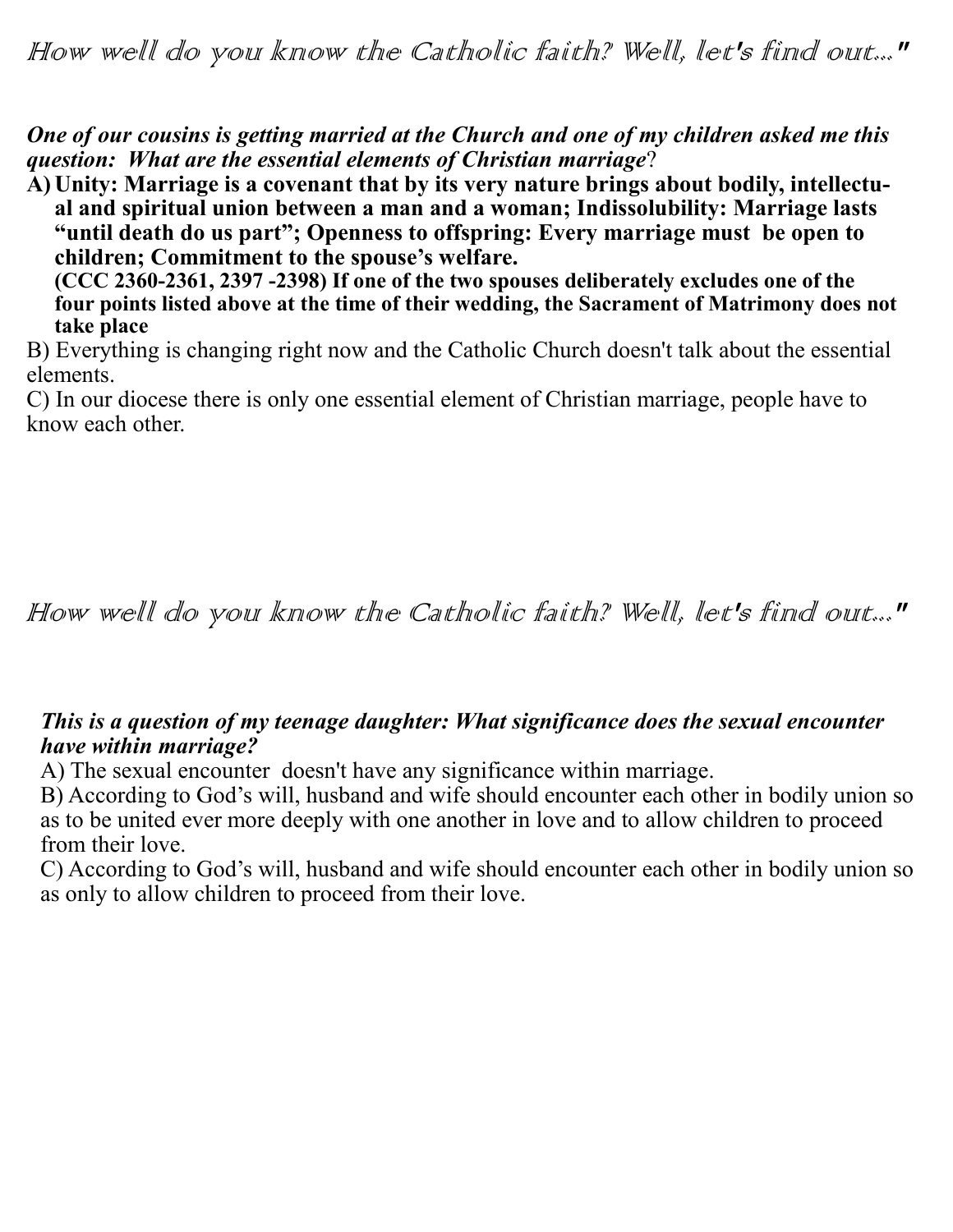*One of our cousins is getting married at the Church and one of my children asked me this question: What are the essential elements of Christian marriage*?

**A) Unity: Marriage is a covenant that by its very nature brings about bodily, intellectual and spiritual union between a man and a woman; Indissolubility: Marriage lasts "until death do us part"; Openness to offspring: Every marriage must be open to children; Commitment to the spouse's welfare.** 

**(CCC 2360-2361, 2397 -2398) If one of the two spouses deliberately excludes one of the four points listed above at the time of their wedding, the Sacrament of Matrimony does not take place**

B) Everything is changing right now and the Catholic Church doesn't talk about the essential elements.

C) In our diocese there is only one essential element of Christian marriage, people have to know each other.

## How well do you know the Catholic faith? Well, let's find out..."

## *This is a question of my teenage daughter: What significance does the sexual encounter have within marriage?*

A) The sexual encounter doesn't have any significance within marriage.

B) According to God's will, husband and wife should encounter each other in bodily union so as to be united ever more deeply with one another in love and to allow children to proceed from their love.

C) According to God's will, husband and wife should encounter each other in bodily union so as only to allow children to proceed from their love.